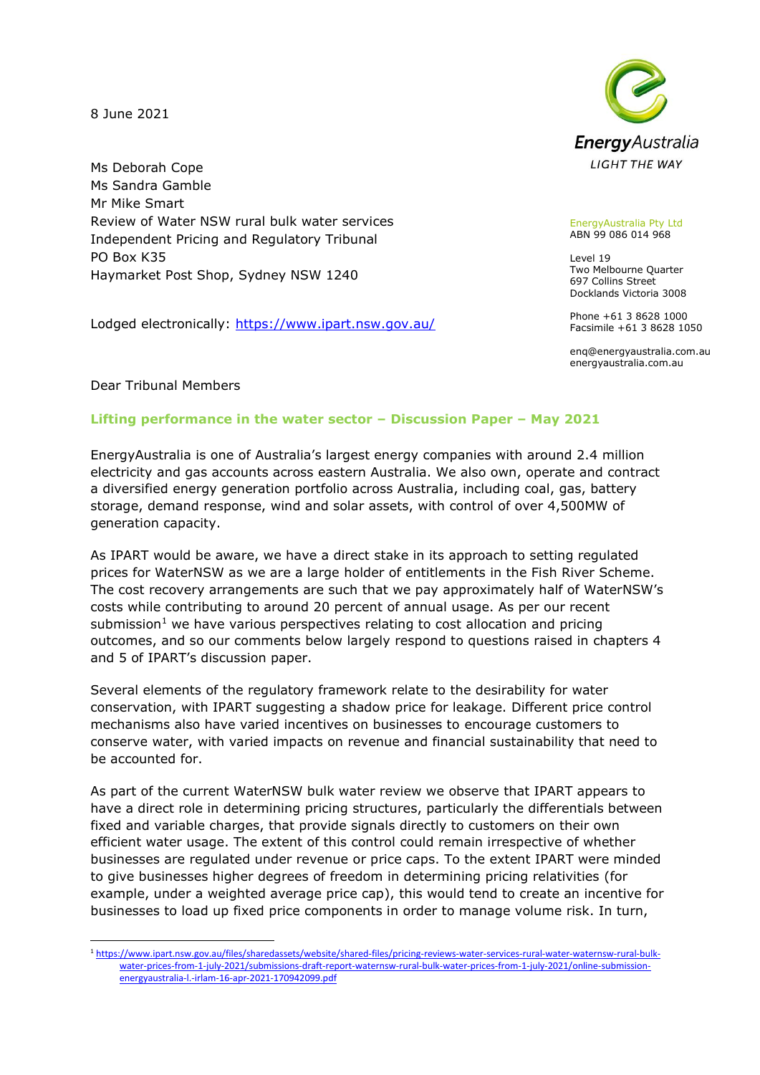8 June 2021

Ms Deborah Cope Ms Sandra Gamble Mr Mike Smart Review of Water NSW rural bulk water services Independent Pricing and Regulatory Tribunal PO Box K35 Haymarket Post Shop, Sydney NSW 1240

Lodged electronically: [https://www.ipart.nsw.gov.au/](https://www.ipart.nsw.gov.au/Home/Contact-Us/Make-a-Submission)



## EnergyAustralia Pty Ltd ABN 99 086 014 968

Level 19 Two Melbourne Quarter 697 Collins Street Docklands Victoria 3008

Phone +61 3 8628 1000 Facsimile +61 3 8628 1050

enq@energyaustralia.com.au energyaustralia.com.au

Dear Tribunal Members

## **Lifting performance in the water sector – Discussion Paper – May 2021**

EnergyAustralia is one of Australia's largest energy companies with around 2.4 million electricity and gas accounts across eastern Australia. We also own, operate and contract a diversified energy generation portfolio across Australia, including coal, gas, battery storage, demand response, wind and solar assets, with control of over 4,500MW of generation capacity.

As IPART would be aware, we have a direct stake in its approach to setting regulated prices for WaterNSW as we are a large holder of entitlements in the Fish River Scheme. The cost recovery arrangements are such that we pay approximately half of WaterNSW's costs while contributing to around 20 percent of annual usage. As per our recent submission<sup>1</sup> we have various perspectives relating to cost allocation and pricing outcomes, and so our comments below largely respond to questions raised in chapters 4 and 5 of IPART's discussion paper.

Several elements of the regulatory framework relate to the desirability for water conservation, with IPART suggesting a shadow price for leakage. Different price control mechanisms also have varied incentives on businesses to encourage customers to conserve water, with varied impacts on revenue and financial sustainability that need to be accounted for.

As part of the current WaterNSW bulk water review we observe that IPART appears to have a direct role in determining pricing structures, particularly the differentials between fixed and variable charges, that provide signals directly to customers on their own efficient water usage. The extent of this control could remain irrespective of whether businesses are regulated under revenue or price caps. To the extent IPART were minded to give businesses higher degrees of freedom in determining pricing relativities (for example, under a weighted average price cap), this would tend to create an incentive for businesses to load up fixed price components in order to manage volume risk. In turn,

<sup>1</sup> [https://www.ipart.nsw.gov.au/files/sharedassets/website/shared-files/pricing-reviews-water-services-rural-water-waternsw-rural-bulk](https://www.ipart.nsw.gov.au/files/sharedassets/website/shared-files/pricing-reviews-water-services-rural-water-waternsw-rural-bulk-water-prices-from-1-july-2021/submissions-draft-report-waternsw-rural-bulk-water-prices-from-1-july-2021/online-submission-energyaustralia-l.-irlam-16-apr-2021-170942099.pdf)[water-prices-from-1-july-2021/submissions-draft-report-waternsw-rural-bulk-water-prices-from-1-july-2021/online-submission](https://www.ipart.nsw.gov.au/files/sharedassets/website/shared-files/pricing-reviews-water-services-rural-water-waternsw-rural-bulk-water-prices-from-1-july-2021/submissions-draft-report-waternsw-rural-bulk-water-prices-from-1-july-2021/online-submission-energyaustralia-l.-irlam-16-apr-2021-170942099.pdf)[energyaustralia-l.-irlam-16-apr-2021-170942099.pdf](https://www.ipart.nsw.gov.au/files/sharedassets/website/shared-files/pricing-reviews-water-services-rural-water-waternsw-rural-bulk-water-prices-from-1-july-2021/submissions-draft-report-waternsw-rural-bulk-water-prices-from-1-july-2021/online-submission-energyaustralia-l.-irlam-16-apr-2021-170942099.pdf)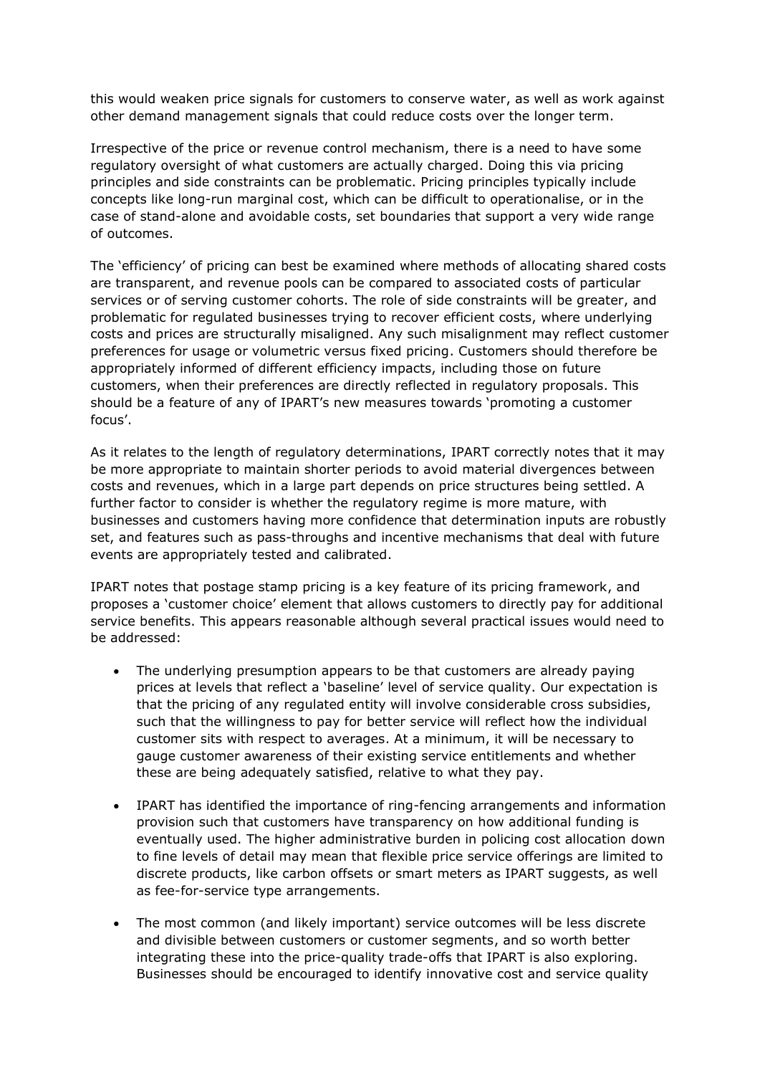this would weaken price signals for customers to conserve water, as well as work against other demand management signals that could reduce costs over the longer term.

Irrespective of the price or revenue control mechanism, there is a need to have some regulatory oversight of what customers are actually charged. Doing this via pricing principles and side constraints can be problematic. Pricing principles typically include concepts like long-run marginal cost, which can be difficult to operationalise, or in the case of stand-alone and avoidable costs, set boundaries that support a very wide range of outcomes.

The 'efficiency' of pricing can best be examined where methods of allocating shared costs are transparent, and revenue pools can be compared to associated costs of particular services or of serving customer cohorts. The role of side constraints will be greater, and problematic for regulated businesses trying to recover efficient costs, where underlying costs and prices are structurally misaligned. Any such misalignment may reflect customer preferences for usage or volumetric versus fixed pricing. Customers should therefore be appropriately informed of different efficiency impacts, including those on future customers, when their preferences are directly reflected in regulatory proposals. This should be a feature of any of IPART's new measures towards 'promoting a customer focus'.

As it relates to the length of regulatory determinations, IPART correctly notes that it may be more appropriate to maintain shorter periods to avoid material divergences between costs and revenues, which in a large part depends on price structures being settled. A further factor to consider is whether the regulatory regime is more mature, with businesses and customers having more confidence that determination inputs are robustly set, and features such as pass-throughs and incentive mechanisms that deal with future events are appropriately tested and calibrated.

IPART notes that postage stamp pricing is a key feature of its pricing framework, and proposes a 'customer choice' element that allows customers to directly pay for additional service benefits. This appears reasonable although several practical issues would need to be addressed:

- The underlying presumption appears to be that customers are already paying prices at levels that reflect a 'baseline' level of service quality. Our expectation is that the pricing of any regulated entity will involve considerable cross subsidies, such that the willingness to pay for better service will reflect how the individual customer sits with respect to averages. At a minimum, it will be necessary to gauge customer awareness of their existing service entitlements and whether these are being adequately satisfied, relative to what they pay.
- IPART has identified the importance of ring-fencing arrangements and information provision such that customers have transparency on how additional funding is eventually used. The higher administrative burden in policing cost allocation down to fine levels of detail may mean that flexible price service offerings are limited to discrete products, like carbon offsets or smart meters as IPART suggests, as well as fee-for-service type arrangements.
- The most common (and likely important) service outcomes will be less discrete and divisible between customers or customer segments, and so worth better integrating these into the price-quality trade-offs that IPART is also exploring. Businesses should be encouraged to identify innovative cost and service quality